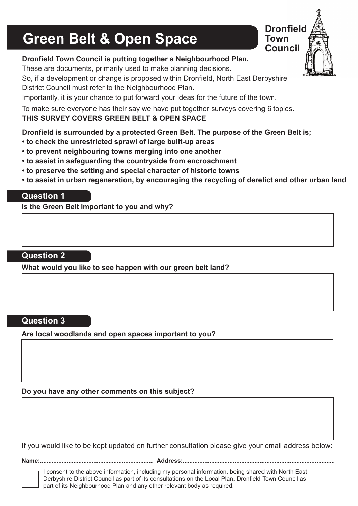## **Green Belt & Open Space**



#### **Dronfield Town Council is putting together a Neighbourhood Plan.**

These are documents, primarily used to make planning decisions.

So, if a development or change is proposed within Dronfield, North East Derbyshire District Council must refer to the Neighbourhood Plan.

Importantly, it is your chance to put forward your ideas for the future of the town.

To make sure everyone has their say we have put together surveys covering 6 topics.

#### **THIS SURVEY COVERS GREEN BELT & OPEN SPACE**

#### **Dronfield is surrounded by a protected Green Belt. The purpose of the Green Belt is;**

- **to check the unrestricted sprawl of large built-up areas**
- **to prevent neighbouring towns merging into one another**
- **to assist in safeguarding the countryside from encroachment**
- **to preserve the setting and special character of historic towns**
- **to assist in urban regeneration, by encouraging the recycling of derelict and other urban land**

#### **Question 1**

**Is the Green Belt important to you and why?**

#### **Question 2**

**What would you like to see happen with our green belt land?**

#### **Question 3**

**Are local woodlands and open spaces important to you?**

#### **Do you have any other comments on this subject?**

If you would like to be kept updated on further consultation please give your email address below:

**Name:.................................................................... Address:...........................................................................................**

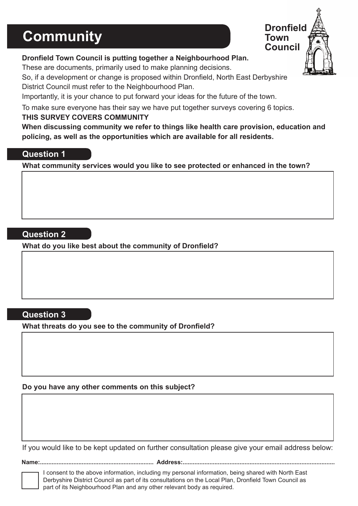### **Community**



#### **Dronfield Town Council is putting together a Neighbourhood Plan.**

These are documents, primarily used to make planning decisions.

So, if a development or change is proposed within Dronfield, North East Derbyshire District Council must refer to the Neighbourhood Plan.

Importantly, it is your chance to put forward your ideas for the future of the town.

To make sure everyone has their say we have put together surveys covering 6 topics.

#### **THIS SURVEY COVERS COMMUNITY**

**When discussing community we refer to things like health care provision, education and policing, as well as the opportunities which are available for all residents.** 

#### **Question 1**

**What community services would you like to see protected or enhanced in the town?**

#### **Question 2**

**What do you like best about the community of Dronfield?**

#### **Question 3**

**What threats do you see to the community of Dronfield?**

**Do you have any other comments on this subject?**

If you would like to be kept updated on further consultation please give your email address below:

**Name:.................................................................... Address:...........................................................................................**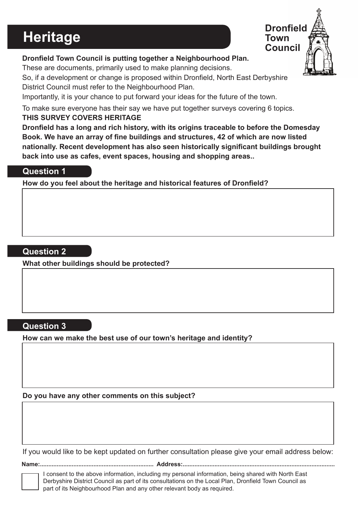# **Heritage** Town Council



#### **Dronfield Town Council is putting together a Neighbourhood Plan.**

These are documents, primarily used to make planning decisions.

So, if a development or change is proposed within Dronfield, North East Derbyshire District Council must refer to the Neighbourhood Plan.

Importantly, it is your chance to put forward your ideas for the future of the town.

To make sure everyone has their say we have put together surveys covering 6 topics. **THIS SURVEY COVERS HERITAGE**

**Dronfield has a long and rich history, with its origins traceable to before the Domesday Book. We have an array of fine buildings and structures, 42 of which are now listed nationally. Recent development has also seen historically significant buildings brought back into use as cafes, event spaces, housing and shopping areas..** 

#### **Question 1**

**How do you feel about the heritage and historical features of Dronfield?**

#### **Question 2**

**What other buildings should be protected?**

#### **Question 3**

**How can we make the best use of our town's heritage and identity?**

**Do you have any other comments on this subject?**

If you would like to be kept updated on further consultation please give your email address below:

**Name:.................................................................... Address:...........................................................................................**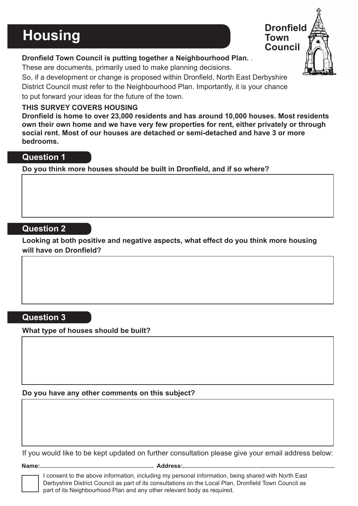### **Housing**



#### **Dronfield Town Council is putting together a Neighbourhood Plan.** .

These are documents, primarily used to make planning decisions.

So, if a development or change is proposed within Dronfield, North East Derbyshire District Council must refer to the Neighbourhood Plan. Importantly, it is your chance to put forward your ideas for the future of the town.

#### **THIS SURVEY COVERS HOUSING**

**Dronfield is home to over 23,000 residents and has around 10,000 houses. Most residents own their own home and we have very few properties for rent, either privately or through social rent. Most of our houses are detached or semi-detached and have 3 or more bedrooms.**

#### **Question 1**

**Do you think more houses should be built in Dronfield, and if so where?**

#### **Question 2**

**Looking at both positive and negative aspects, what effect do you think more housing will have on Dronfield?**

#### **Question 3**

**What type of houses should be built?** 

#### **Do you have any other comments on this subject?**

If you would like to be kept updated on further consultation please give your email address below:

**Name:.................................................................... Address:...........................................................................................**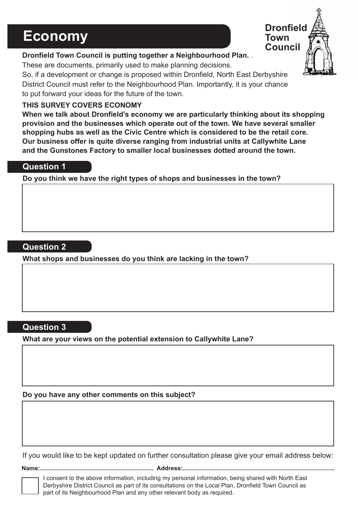### **Economy**



#### **Dronfield Town Council is putting together a Neighbourhood Plan.** .

These are documents, primarily used to make planning decisions.

So, if a development or change is proposed within Dronfield, North East Derbyshire District Council must refer to the Neighbourhood Plan. Importantly, it is your chance to put forward your ideas for the future of the town.

#### **THIS SURVEY COVERS ECONOMY**

**When we talk about Dronfield's economy we are particularly thinking about its shopping provision and the businesses which operate out of the town. We have several smaller shopping hubs as well as the Civic Centre which is considered to be the retail core. Our business offer is quite diverse ranging from industrial units at Callywhite Lane and the Gunstones Factory to smaller local businesses dotted around the town.**

#### **Question 1**

**Do you think we have the right types of shops and businesses in the town?**

#### **Question 2**

**What shops and businesses do you think are lacking in the town?**

#### **Question 3**

**What are your views on the potential extension to Callywhite Lane?**

**Do you have any other comments on this subject?**

If you would like to be kept updated on further consultation please give your email address below:

**Name:.................................................................... Address:...........................................................................................**